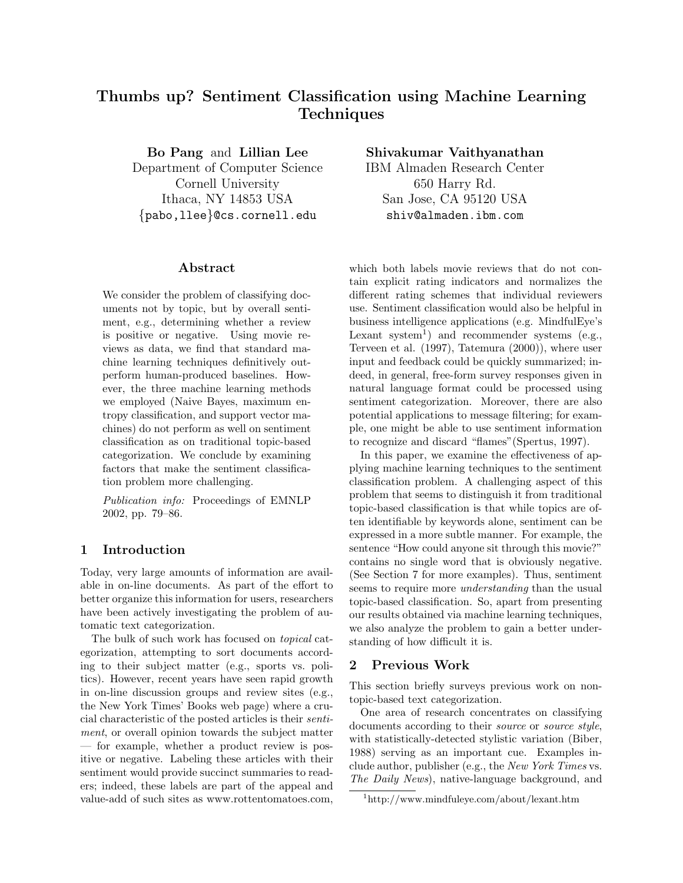# Thumbs up? Sentiment Classification using Machine Learning Techniques

Bo Pang and Lillian Lee Department of Computer Science Cornell University Ithaca, NY 14853 USA {pabo,llee}@cs.cornell.edu

## Abstract

We consider the problem of classifying documents not by topic, but by overall sentiment, e.g., determining whether a review is positive or negative. Using movie reviews as data, we find that standard machine learning techniques definitively outperform human-produced baselines. However, the three machine learning methods we employed (Naive Bayes, maximum entropy classification, and support vector machines) do not perform as well on sentiment classification as on traditional topic-based categorization. We conclude by examining factors that make the sentiment classification problem more challenging.

Publication info: Proceedings of EMNLP 2002, pp. 79–86.

## 1 Introduction

Today, very large amounts of information are available in on-line documents. As part of the effort to better organize this information for users, researchers have been actively investigating the problem of automatic text categorization.

The bulk of such work has focused on topical categorization, attempting to sort documents according to their subject matter (e.g., sports vs. politics). However, recent years have seen rapid growth in on-line discussion groups and review sites (e.g., the New York Times' Books web page) where a crucial characteristic of the posted articles is their sentiment, or overall opinion towards the subject matter — for example, whether a product review is positive or negative. Labeling these articles with their sentiment would provide succinct summaries to readers; indeed, these labels are part of the appeal and value-add of such sites as www.rottentomatoes.com,

Shivakumar Vaithyanathan

IBM Almaden Research Center 650 Harry Rd. San Jose, CA 95120 USA shiv@almaden.ibm.com

which both labels movie reviews that do not contain explicit rating indicators and normalizes the different rating schemes that individual reviewers use. Sentiment classification would also be helpful in business intelligence applications (e.g. MindfulEye's Lexant system<sup>1</sup>) and recommender systems (e.g., Terveen et al. (1997), Tatemura (2000)), where user input and feedback could be quickly summarized; indeed, in general, free-form survey responses given in natural language format could be processed using sentiment categorization. Moreover, there are also potential applications to message filtering; for example, one might be able to use sentiment information to recognize and discard "flames"(Spertus, 1997).

In this paper, we examine the effectiveness of applying machine learning techniques to the sentiment classification problem. A challenging aspect of this problem that seems to distinguish it from traditional topic-based classification is that while topics are often identifiable by keywords alone, sentiment can be expressed in a more subtle manner. For example, the sentence "How could anyone sit through this movie?" contains no single word that is obviously negative. (See Section 7 for more examples). Thus, sentiment seems to require more understanding than the usual topic-based classification. So, apart from presenting our results obtained via machine learning techniques, we also analyze the problem to gain a better understanding of how difficult it is.

# 2 Previous Work

This section briefly surveys previous work on nontopic-based text categorization.

One area of research concentrates on classifying documents according to their *source* or *source style*, with statistically-detected stylistic variation (Biber, 1988) serving as an important cue. Examples include author, publisher (e.g., the New York Times vs. The Daily News), native-language background, and

<sup>1</sup>http://www.mindfuleye.com/about/lexant.htm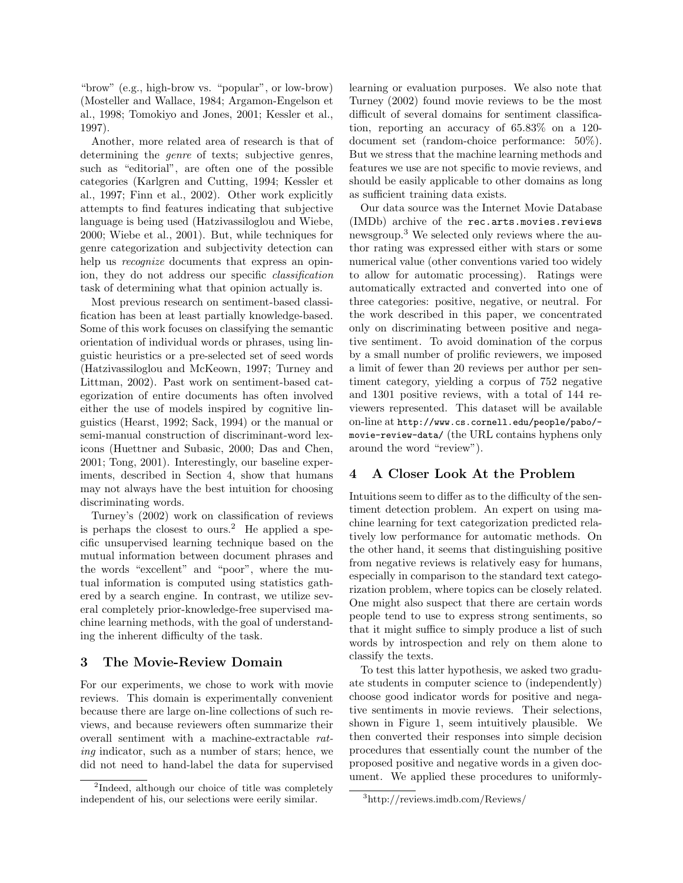"brow" (e.g., high-brow vs. "popular", or low-brow) (Mosteller and Wallace, 1984; Argamon-Engelson et al., 1998; Tomokiyo and Jones, 2001; Kessler et al., 1997).

Another, more related area of research is that of determining the *genre* of texts; subjective genres, such as "editorial", are often one of the possible categories (Karlgren and Cutting, 1994; Kessler et al., 1997; Finn et al., 2002). Other work explicitly attempts to find features indicating that subjective language is being used (Hatzivassiloglou and Wiebe, 2000; Wiebe et al., 2001). But, while techniques for genre categorization and subjectivity detection can help us *recognize* documents that express an opinion, they do not address our specific classification task of determining what that opinion actually is.

Most previous research on sentiment-based classification has been at least partially knowledge-based. Some of this work focuses on classifying the semantic orientation of individual words or phrases, using linguistic heuristics or a pre-selected set of seed words (Hatzivassiloglou and McKeown, 1997; Turney and Littman, 2002). Past work on sentiment-based categorization of entire documents has often involved either the use of models inspired by cognitive linguistics (Hearst, 1992; Sack, 1994) or the manual or semi-manual construction of discriminant-word lexicons (Huettner and Subasic, 2000; Das and Chen, 2001; Tong, 2001). Interestingly, our baseline experiments, described in Section 4, show that humans may not always have the best intuition for choosing discriminating words.

Turney's (2002) work on classification of reviews is perhaps the closest to ours.<sup>2</sup> He applied a specific unsupervised learning technique based on the mutual information between document phrases and the words "excellent" and "poor", where the mutual information is computed using statistics gathered by a search engine. In contrast, we utilize several completely prior-knowledge-free supervised machine learning methods, with the goal of understanding the inherent difficulty of the task.

# 3 The Movie-Review Domain

For our experiments, we chose to work with movie reviews. This domain is experimentally convenient because there are large on-line collections of such reviews, and because reviewers often summarize their overall sentiment with a machine-extractable rating indicator, such as a number of stars; hence, we did not need to hand-label the data for supervised

learning or evaluation purposes. We also note that Turney (2002) found movie reviews to be the most difficult of several domains for sentiment classification, reporting an accuracy of 65.83% on a 120 document set (random-choice performance: 50%). But we stress that the machine learning methods and features we use are not specific to movie reviews, and should be easily applicable to other domains as long as sufficient training data exists.

Our data source was the Internet Movie Database (IMDb) archive of the rec.arts.movies.reviews newsgroup.<sup>3</sup> We selected only reviews where the author rating was expressed either with stars or some numerical value (other conventions varied too widely to allow for automatic processing). Ratings were automatically extracted and converted into one of three categories: positive, negative, or neutral. For the work described in this paper, we concentrated only on discriminating between positive and negative sentiment. To avoid domination of the corpus by a small number of prolific reviewers, we imposed a limit of fewer than 20 reviews per author per sentiment category, yielding a corpus of 752 negative and 1301 positive reviews, with a total of 144 reviewers represented. This dataset will be available on-line at http://www.cs.cornell.edu/people/pabo/ movie-review-data/ (the URL contains hyphens only around the word "review").

# 4 A Closer Look At the Problem

Intuitions seem to differ as to the difficulty of the sentiment detection problem. An expert on using machine learning for text categorization predicted relatively low performance for automatic methods. On the other hand, it seems that distinguishing positive from negative reviews is relatively easy for humans, especially in comparison to the standard text categorization problem, where topics can be closely related. One might also suspect that there are certain words people tend to use to express strong sentiments, so that it might suffice to simply produce a list of such words by introspection and rely on them alone to classify the texts.

To test this latter hypothesis, we asked two graduate students in computer science to (independently) choose good indicator words for positive and negative sentiments in movie reviews. Their selections, shown in Figure 1, seem intuitively plausible. We then converted their responses into simple decision procedures that essentially count the number of the proposed positive and negative words in a given document. We applied these procedures to uniformly-

<sup>&</sup>lt;sup>2</sup>Indeed, although our choice of title was completely independent of his, our selections were eerily similar.

<sup>3</sup>http://reviews.imdb.com/Reviews/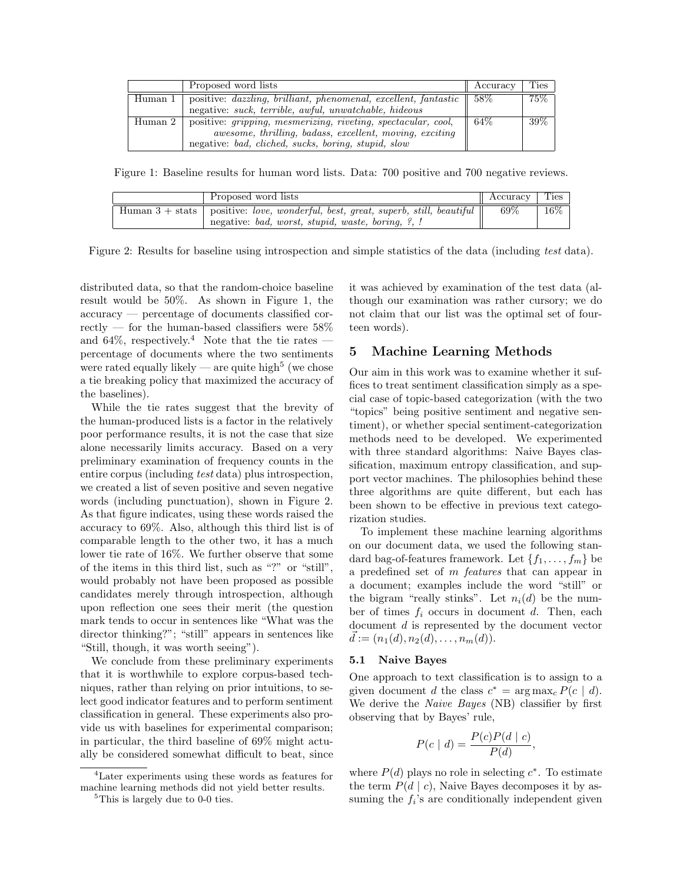|         | Proposed word lists                                                                                                                                                                       | Accuracy | Ties   |
|---------|-------------------------------------------------------------------------------------------------------------------------------------------------------------------------------------------|----------|--------|
| Human 1 | positive: dazzling, brilliant, phenomenal, excellent, fantastic<br>negative: suck, terrible, awful, unwatchable, hideous                                                                  | 58%      | 75%    |
|         | Human 2   positive: gripping, mesmerizing, riveting, spectacular, cool,<br>awesome, thrilling, badass, excellent, moving, exciting<br>negative: bad, cliched, sucks, boring, stupid, slow | 64\%     | $39\%$ |

Figure 1: Baseline results for human word lists. Data: 700 positive and 700 negative reviews.

| Proposed word lists                                                                                                                      |      |        |
|------------------------------------------------------------------------------------------------------------------------------------------|------|--------|
| Human $3 +$ stats   positive: love, wonderful, best, great, superb, still, beautiful<br>negative: bad, worst, stupid, waste, boring, ?.! | 69\% | $16\%$ |

Figure 2: Results for baseline using introspection and simple statistics of the data (including test data).

distributed data, so that the random-choice baseline result would be 50%. As shown in Figure 1, the accuracy — percentage of documents classified correctly — for the human-based classifiers were  $58\%$ and 64%, respectively.<sup>4</sup> Note that the tie rates  $$ percentage of documents where the two sentiments were rated equally likely — are quite high<sup>5</sup> (we chose a tie breaking policy that maximized the accuracy of the baselines).

While the tie rates suggest that the brevity of the human-produced lists is a factor in the relatively poor performance results, it is not the case that size alone necessarily limits accuracy. Based on a very preliminary examination of frequency counts in the entire corpus (including test data) plus introspection. we created a list of seven positive and seven negative words (including punctuation), shown in Figure 2. As that figure indicates, using these words raised the accuracy to 69%. Also, although this third list is of comparable length to the other two, it has a much lower tie rate of 16%. We further observe that some of the items in this third list, such as "?" or "still", would probably not have been proposed as possible candidates merely through introspection, although upon reflection one sees their merit (the question mark tends to occur in sentences like "What was the director thinking?"; "still" appears in sentences like "Still, though, it was worth seeing").

We conclude from these preliminary experiments that it is worthwhile to explore corpus-based techniques, rather than relying on prior intuitions, to select good indicator features and to perform sentiment classification in general. These experiments also provide us with baselines for experimental comparison; in particular, the third baseline of 69% might actually be considered somewhat difficult to beat, since it was achieved by examination of the test data (although our examination was rather cursory; we do not claim that our list was the optimal set of fourteen words).

# 5 Machine Learning Methods

Our aim in this work was to examine whether it suffices to treat sentiment classification simply as a special case of topic-based categorization (with the two "topics" being positive sentiment and negative sentiment), or whether special sentiment-categorization methods need to be developed. We experimented with three standard algorithms: Naive Bayes classification, maximum entropy classification, and support vector machines. The philosophies behind these three algorithms are quite different, but each has been shown to be effective in previous text categorization studies.

To implement these machine learning algorithms on our document data, we used the following standard bag-of-features framework. Let  $\{f_1, \ldots, f_m\}$  be a predefined set of m features that can appear in a document; examples include the word "still" or the bigram "really stinks". Let  $n_i(d)$  be the number of times  $f_i$  occurs in document d. Then, each document d is represented by the document vector  $d := (n_1(d), n_2(d), \ldots, n_m(d)).$ 

#### 5.1 Naive Bayes

One approach to text classification is to assign to a given document d the class  $c^* = \arg \max_c P(c \mid d)$ . We derive the *Naive Bayes* (NB) classifier by first observing that by Bayes' rule,

$$
P(c | d) = \frac{P(c)P(d | c)}{P(d)},
$$

where  $P(d)$  plays no role in selecting  $c^*$ . To estimate the term  $P(d \mid c)$ , Naive Bayes decomposes it by assuming the  $f_i$ 's are conditionally independent given

<sup>4</sup>Later experiments using these words as features for machine learning methods did not yield better results.

<sup>5</sup>This is largely due to 0-0 ties.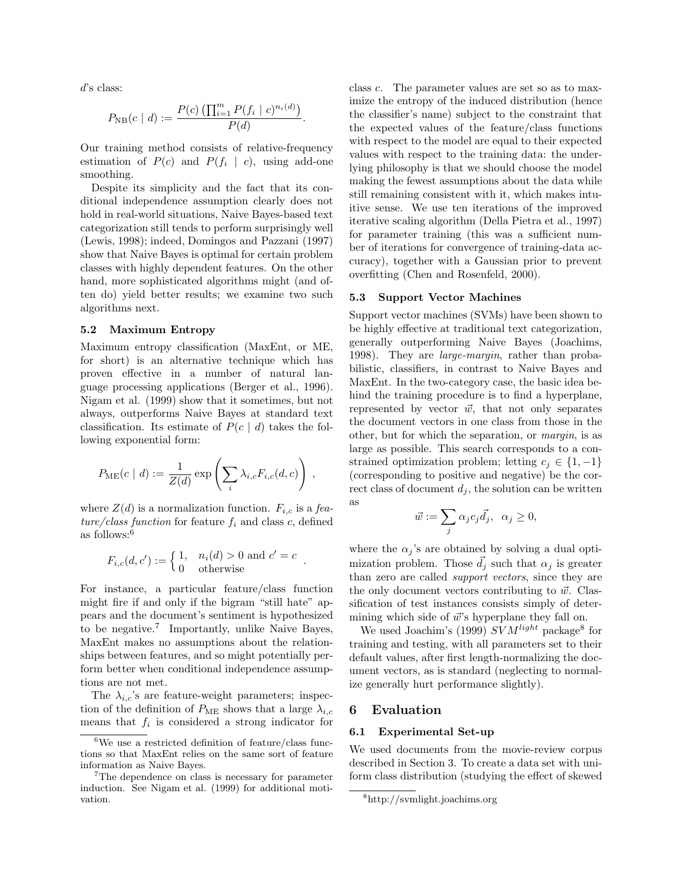d's class:

$$
P_{\text{NB}}(c \mid d) := \frac{P(c) \left( \prod_{i=1}^{m} P(f_i \mid c)^{n_i(d)} \right)}{P(d)}.
$$

Our training method consists of relative-frequency estimation of  $P(c)$  and  $P(f_i | c)$ , using add-one smoothing.

Despite its simplicity and the fact that its conditional independence assumption clearly does not hold in real-world situations, Naive Bayes-based text categorization still tends to perform surprisingly well (Lewis, 1998); indeed, Domingos and Pazzani (1997) show that Naive Bayes is optimal for certain problem classes with highly dependent features. On the other hand, more sophisticated algorithms might (and often do) yield better results; we examine two such algorithms next.

## 5.2 Maximum Entropy

Maximum entropy classification (MaxEnt, or ME, for short) is an alternative technique which has proven effective in a number of natural language processing applications (Berger et al., 1996). Nigam et al. (1999) show that it sometimes, but not always, outperforms Naive Bayes at standard text classification. Its estimate of  $P(c | d)$  takes the following exponential form:

$$
P_{\text{ME}}(c \mid d) := \frac{1}{Z(d)} \exp\left(\sum_{i} \lambda_{i,c} F_{i,c}(d, c)\right) ,
$$

where  $Z(d)$  is a normalization function.  $F_{i,c}$  is a feature/class function for feature  $f_i$  and class c, defined as follows:<sup>6</sup>

$$
F_{i,c}(d,c') := \begin{cases} 1, & n_i(d) > 0 \text{ and } c' = c \\ 0 & \text{otherwise} \end{cases}.
$$

For instance, a particular feature/class function might fire if and only if the bigram "still hate" appears and the document's sentiment is hypothesized to be negative.<sup>7</sup> Importantly, unlike Naive Bayes, MaxEnt makes no assumptions about the relationships between features, and so might potentially perform better when conditional independence assumptions are not met.

The  $\lambda_{i,c}$ 's are feature-weight parameters; inspection of the definition of  $P_{\text{ME}}$  shows that a large  $\lambda_{i,c}$ means that  $f_i$  is considered a strong indicator for class c. The parameter values are set so as to maximize the entropy of the induced distribution (hence the classifier's name) subject to the constraint that the expected values of the feature/class functions with respect to the model are equal to their expected values with respect to the training data: the underlying philosophy is that we should choose the model making the fewest assumptions about the data while still remaining consistent with it, which makes intuitive sense. We use ten iterations of the improved iterative scaling algorithm (Della Pietra et al., 1997) for parameter training (this was a sufficient number of iterations for convergence of training-data accuracy), together with a Gaussian prior to prevent overfitting (Chen and Rosenfeld, 2000).

#### 5.3 Support Vector Machines

Support vector machines (SVMs) have been shown to be highly effective at traditional text categorization, generally outperforming Naive Bayes (Joachims, 1998). They are *large-margin*, rather than probabilistic, classifiers, in contrast to Naive Bayes and MaxEnt. In the two-category case, the basic idea behind the training procedure is to find a hyperplane, represented by vector  $\vec{w}$ , that not only separates the document vectors in one class from those in the other, but for which the separation, or margin, is as large as possible. This search corresponds to a constrained optimization problem; letting  $c_i \in \{1, -1\}$ (corresponding to positive and negative) be the correct class of document  $d_j$ , the solution can be written as

$$
\vec{w} := \sum_j \alpha_j c_j \vec{d_j}, \ \ \alpha_j \ge 0,
$$

where the  $\alpha_j$ 's are obtained by solving a dual optimization problem. Those  $\vec{d}_j$  such that  $\alpha_j$  is greater than zero are called support vectors, since they are the only document vectors contributing to  $\vec{w}$ . Classification of test instances consists simply of determining which side of  $\vec{w}$ 's hyperplane they fall on.

We used Joachim's (1999)  $SVM<sup>light</sup>$  package<sup>8</sup> for training and testing, with all parameters set to their default values, after first length-normalizing the document vectors, as is standard (neglecting to normalize generally hurt performance slightly).

## 6 Evaluation

#### 6.1 Experimental Set-up

We used documents from the movie-review corpus described in Section 3. To create a data set with uniform class distribution (studying the effect of skewed

 ${}^{6}$ We use a restricted definition of feature/class functions so that MaxEnt relies on the same sort of feature information as Naive Bayes.

<sup>7</sup>The dependence on class is necessary for parameter induction. See Nigam et al. (1999) for additional motivation.

<sup>8</sup>http://svmlight.joachims.org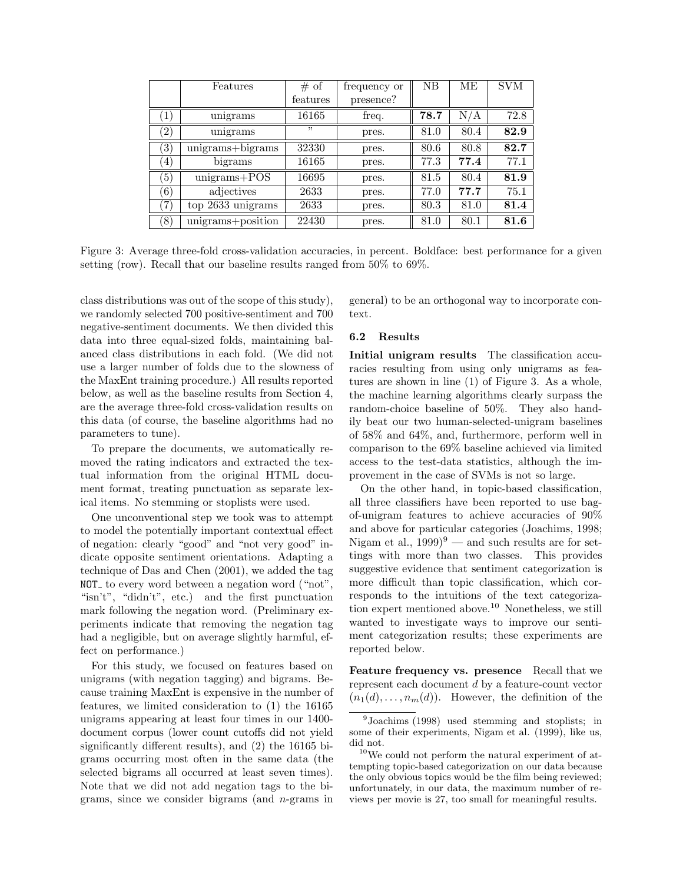|                   | Features             | # of     | frequency or | NB   | MЕ   | <b>SVM</b> |
|-------------------|----------------------|----------|--------------|------|------|------------|
|                   |                      | features | presence?    |      |      |            |
| $1^{\circ}$       | unigrams             | 16165    | freq.        | 78.7 | N/A  | 72.8       |
| $\left( 2\right)$ | unigrams             | "        | pres.        | 81.0 | 80.4 | 82.9       |
| $\left(3\right)$  | $unigrams + bigrams$ | 32330    | pres.        | 80.6 | 80.8 | 82.7       |
| 4)                | bigrams              | 16165    | pres.        | 77.3 | 77.4 | 77.1       |
| $\left(5\right)$  | $unigrams+POS$       | 16695    | pres.        | 81.5 | 80.4 | 81.9       |
| (6)               | adjectives           | 2633     | pres.        | 77.0 | 77.7 | 75.1       |
| $\left( 7\right)$ | top 2633 unigrams    | 2633     | pres.        | 80.3 | 81.0 | 81.4       |
| $\left(8\right)$  | unigrams+position    | 22430    | pres.        | 81.0 | 80.1 | 81.6       |

Figure 3: Average three-fold cross-validation accuracies, in percent. Boldface: best performance for a given setting (row). Recall that our baseline results ranged from 50% to 69%.

class distributions was out of the scope of this study), we randomly selected 700 positive-sentiment and 700 negative-sentiment documents. We then divided this data into three equal-sized folds, maintaining balanced class distributions in each fold. (We did not use a larger number of folds due to the slowness of the MaxEnt training procedure.) All results reported below, as well as the baseline results from Section 4, are the average three-fold cross-validation results on this data (of course, the baseline algorithms had no parameters to tune).

To prepare the documents, we automatically removed the rating indicators and extracted the textual information from the original HTML document format, treating punctuation as separate lexical items. No stemming or stoplists were used.

One unconventional step we took was to attempt to model the potentially important contextual effect of negation: clearly "good" and "not very good" indicate opposite sentiment orientations. Adapting a technique of Das and Chen (2001), we added the tag NOT<sub>-</sub> to every word between a negation word ("not", "isn't", "didn't", etc.) and the first punctuation mark following the negation word. (Preliminary experiments indicate that removing the negation tag had a negligible, but on average slightly harmful, effect on performance.)

For this study, we focused on features based on unigrams (with negation tagging) and bigrams. Because training MaxEnt is expensive in the number of features, we limited consideration to (1) the 16165 unigrams appearing at least four times in our 1400 document corpus (lower count cutoffs did not yield significantly different results), and (2) the 16165 bigrams occurring most often in the same data (the selected bigrams all occurred at least seven times). Note that we did not add negation tags to the bigrams, since we consider bigrams (and n-grams in

general) to be an orthogonal way to incorporate context.

#### 6.2 Results

Initial unigram results The classification accuracies resulting from using only unigrams as features are shown in line (1) of Figure 3. As a whole, the machine learning algorithms clearly surpass the random-choice baseline of 50%. They also handily beat our two human-selected-unigram baselines of 58% and 64%, and, furthermore, perform well in comparison to the 69% baseline achieved via limited access to the test-data statistics, although the improvement in the case of SVMs is not so large.

On the other hand, in topic-based classification, all three classifiers have been reported to use bagof-unigram features to achieve accuracies of 90% and above for particular categories (Joachims, 1998; Nigam et al.,  $1999)^9$  — and such results are for settings with more than two classes. This provides suggestive evidence that sentiment categorization is more difficult than topic classification, which corresponds to the intuitions of the text categorization expert mentioned above.<sup>10</sup> Nonetheless, we still wanted to investigate ways to improve our sentiment categorization results; these experiments are reported below.

Feature frequency vs. presence Recall that we represent each document d by a feature-count vector  $(n_1(d), \ldots, n_m(d))$ . However, the definition of the

<sup>9</sup> Joachims (1998) used stemming and stoplists; in some of their experiments, Nigam et al. (1999), like us, did not.

 $10$ We could not perform the natural experiment of attempting topic-based categorization on our data because the only obvious topics would be the film being reviewed; unfortunately, in our data, the maximum number of reviews per movie is 27, too small for meaningful results.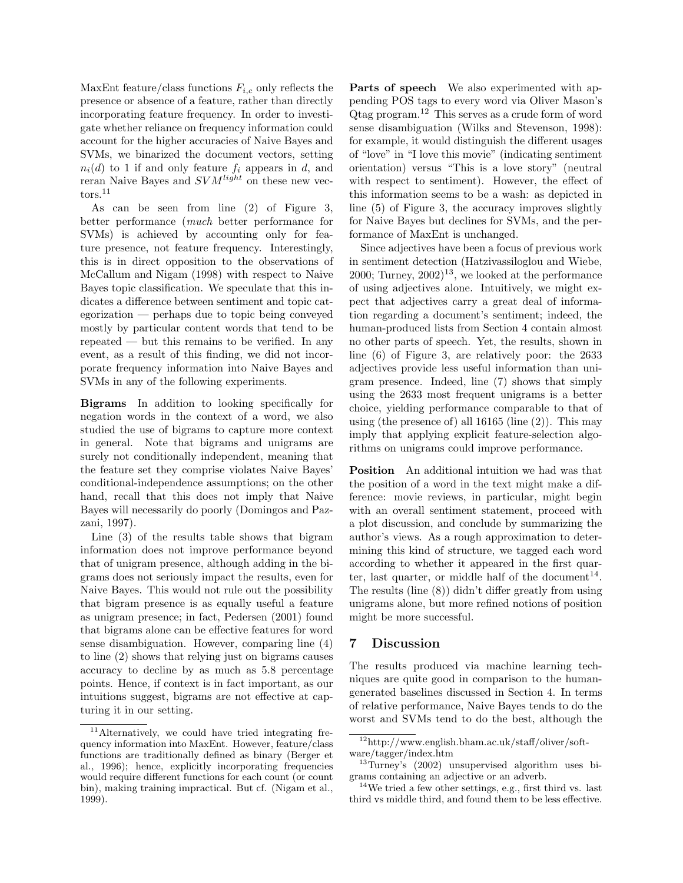MaxEnt feature/class functions  $F_{i,c}$  only reflects the presence or absence of a feature, rather than directly incorporating feature frequency. In order to investigate whether reliance on frequency information could account for the higher accuracies of Naive Bayes and SVMs, we binarized the document vectors, setting  $n_i(d)$  to 1 if and only feature  $f_i$  appears in d, and reran Naive Bayes and  $SVM<sup>light</sup>$  on these new vectors.<sup>11</sup>

As can be seen from line (2) of Figure 3, better performance (much better performance for SVMs) is achieved by accounting only for feature presence, not feature frequency. Interestingly, this is in direct opposition to the observations of McCallum and Nigam (1998) with respect to Naive Bayes topic classification. We speculate that this indicates a difference between sentiment and topic categorization — perhaps due to topic being conveyed mostly by particular content words that tend to be repeated — but this remains to be verified. In any event, as a result of this finding, we did not incorporate frequency information into Naive Bayes and SVMs in any of the following experiments.

Bigrams In addition to looking specifically for negation words in the context of a word, we also studied the use of bigrams to capture more context in general. Note that bigrams and unigrams are surely not conditionally independent, meaning that the feature set they comprise violates Naive Bayes' conditional-independence assumptions; on the other hand, recall that this does not imply that Naive Bayes will necessarily do poorly (Domingos and Pazzani, 1997).

Line (3) of the results table shows that bigram information does not improve performance beyond that of unigram presence, although adding in the bigrams does not seriously impact the results, even for Naive Bayes. This would not rule out the possibility that bigram presence is as equally useful a feature as unigram presence; in fact, Pedersen (2001) found that bigrams alone can be effective features for word sense disambiguation. However, comparing line (4) to line (2) shows that relying just on bigrams causes accuracy to decline by as much as 5.8 percentage points. Hence, if context is in fact important, as our intuitions suggest, bigrams are not effective at capturing it in our setting.

Parts of speech We also experimented with appending POS tags to every word via Oliver Mason's Qtag program.<sup>12</sup> This serves as a crude form of word sense disambiguation (Wilks and Stevenson, 1998): for example, it would distinguish the different usages of "love" in "I love this movie" (indicating sentiment orientation) versus "This is a love story" (neutral with respect to sentiment). However, the effect of this information seems to be a wash: as depicted in line (5) of Figure 3, the accuracy improves slightly for Naive Bayes but declines for SVMs, and the performance of MaxEnt is unchanged.

Since adjectives have been a focus of previous work in sentiment detection (Hatzivassiloglou and Wiebe, 2000; Turney,  $2002$ <sup>13</sup>, we looked at the performance of using adjectives alone. Intuitively, we might expect that adjectives carry a great deal of information regarding a document's sentiment; indeed, the human-produced lists from Section 4 contain almost no other parts of speech. Yet, the results, shown in line (6) of Figure 3, are relatively poor: the 2633 adjectives provide less useful information than unigram presence. Indeed, line (7) shows that simply using the 2633 most frequent unigrams is a better choice, yielding performance comparable to that of using (the presence of) all  $16165$  (line  $(2)$ ). This may imply that applying explicit feature-selection algorithms on unigrams could improve performance.

Position An additional intuition we had was that the position of a word in the text might make a difference: movie reviews, in particular, might begin with an overall sentiment statement, proceed with a plot discussion, and conclude by summarizing the author's views. As a rough approximation to determining this kind of structure, we tagged each word according to whether it appeared in the first quarter, last quarter, or middle half of the document<sup>14</sup>. The results (line (8)) didn't differ greatly from using unigrams alone, but more refined notions of position might be more successful.

# 7 Discussion

The results produced via machine learning techniques are quite good in comparison to the humangenerated baselines discussed in Section 4. In terms of relative performance, Naive Bayes tends to do the worst and SVMs tend to do the best, although the

 $11$ Alternatively, we could have tried integrating frequency information into MaxEnt. However, feature/class functions are traditionally defined as binary (Berger et al., 1996); hence, explicitly incorporating frequencies would require different functions for each count (or count bin), making training impractical. But cf. (Nigam et al., 1999).

<sup>12</sup>http://www.english.bham.ac.uk/staff/oliver/software/tagger/index.htm

<sup>13</sup>Turney's (2002) unsupervised algorithm uses bigrams containing an adjective or an adverb.

<sup>14</sup>We tried a few other settings, e.g., first third vs. last third vs middle third, and found them to be less effective.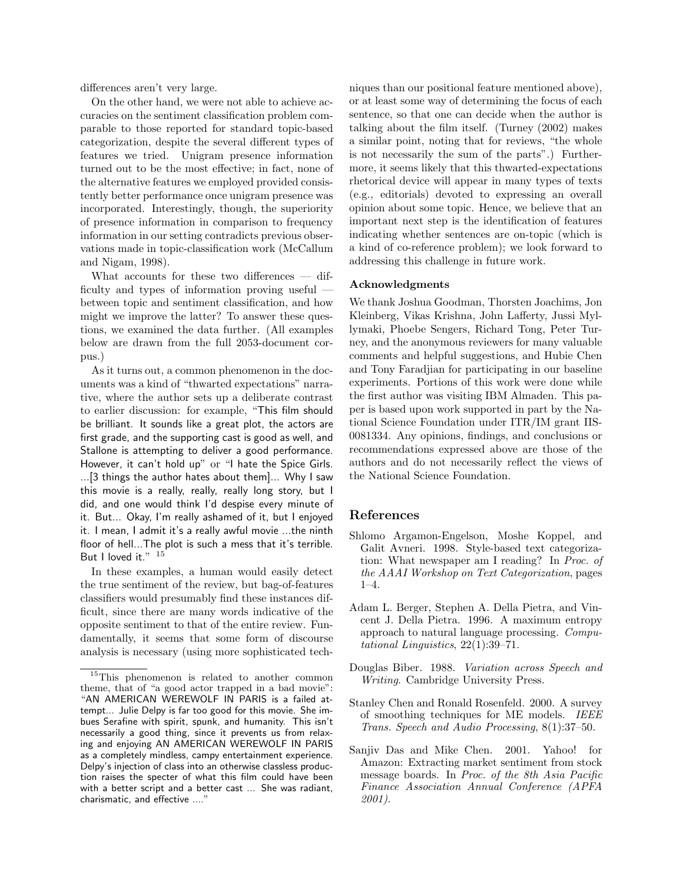differences aren't very large.

On the other hand, we were not able to achieve accuracies on the sentiment classification problem comparable to those reported for standard topic-based categorization, despite the several different types of features we tried. Unigram presence information turned out to be the most effective; in fact, none of the alternative features we employed provided consistently better performance once unigram presence was incorporated. Interestingly, though, the superiority of presence information in comparison to frequency information in our setting contradicts previous observations made in topic-classification work (McCallum and Nigam, 1998).

What accounts for these two differences — difficulty and types of information proving useful between topic and sentiment classification, and how might we improve the latter? To answer these questions, we examined the data further. (All examples below are drawn from the full 2053-document corpus.)

As it turns out, a common phenomenon in the documents was a kind of "thwarted expectations" narrative, where the author sets up a deliberate contrast to earlier discussion: for example, "This film should be brilliant. It sounds like a great plot, the actors are first grade, and the supporting cast is good as well, and Stallone is attempting to deliver a good performance. However, it can't hold up" or "I hate the Spice Girls. ...[3 things the author hates about them]... Why I saw this movie is a really, really, really long story, but I did, and one would think I'd despise every minute of it. But... Okay, I'm really ashamed of it, but I enjoyed it. I mean, I admit it's a really awful movie ...the ninth floor of hell...The plot is such a mess that it's terrible. But I loved it." 15

In these examples, a human would easily detect the true sentiment of the review, but bag-of-features classifiers would presumably find these instances difficult, since there are many words indicative of the opposite sentiment to that of the entire review. Fundamentally, it seems that some form of discourse analysis is necessary (using more sophisticated techniques than our positional feature mentioned above), or at least some way of determining the focus of each sentence, so that one can decide when the author is talking about the film itself. (Turney (2002) makes a similar point, noting that for reviews, "the whole is not necessarily the sum of the parts".) Furthermore, it seems likely that this thwarted-expectations rhetorical device will appear in many types of texts (e.g., editorials) devoted to expressing an overall opinion about some topic. Hence, we believe that an important next step is the identification of features indicating whether sentences are on-topic (which is a kind of co-reference problem); we look forward to addressing this challenge in future work.

#### Acknowledgments

We thank Joshua Goodman, Thorsten Joachims, Jon Kleinberg, Vikas Krishna, John Lafferty, Jussi Myllymaki, Phoebe Sengers, Richard Tong, Peter Turney, and the anonymous reviewers for many valuable comments and helpful suggestions, and Hubie Chen and Tony Faradjian for participating in our baseline experiments. Portions of this work were done while the first author was visiting IBM Almaden. This paper is based upon work supported in part by the National Science Foundation under ITR/IM grant IIS-0081334. Any opinions, findings, and conclusions or recommendations expressed above are those of the authors and do not necessarily reflect the views of the National Science Foundation.

# References

- Shlomo Argamon-Engelson, Moshe Koppel, and Galit Avneri. 1998. Style-based text categorization: What newspaper am I reading? In Proc. of the AAAI Workshop on Text Categorization, pages 1–4.
- Adam L. Berger, Stephen A. Della Pietra, and Vincent J. Della Pietra. 1996. A maximum entropy approach to natural language processing. Computational Linguistics, 22(1):39–71.
- Douglas Biber. 1988. Variation across Speech and Writing. Cambridge University Press.
- Stanley Chen and Ronald Rosenfeld. 2000. A survey of smoothing techniques for ME models. IEEE Trans. Speech and Audio Processing, 8(1):37–50.
- Sanjiv Das and Mike Chen. 2001. Yahoo! for Amazon: Extracting market sentiment from stock message boards. In Proc. of the 8th Asia Pacific Finance Association Annual Conference (APFA 2001).

<sup>&</sup>lt;sup>15</sup>This phenomenon is related to another common theme, that of "a good actor trapped in a bad movie": "AN AMERICAN WEREWOLF IN PARIS is a failed attempt... Julie Delpy is far too good for this movie. She imbues Serafine with spirit, spunk, and humanity. This isn't necessarily a good thing, since it prevents us from relaxing and enjoying AN AMERICAN WEREWOLF IN PARIS as a completely mindless, campy entertainment experience. Delpy's injection of class into an otherwise classless production raises the specter of what this film could have been with a better script and a better cast ... She was radiant, charismatic, and effective ...."